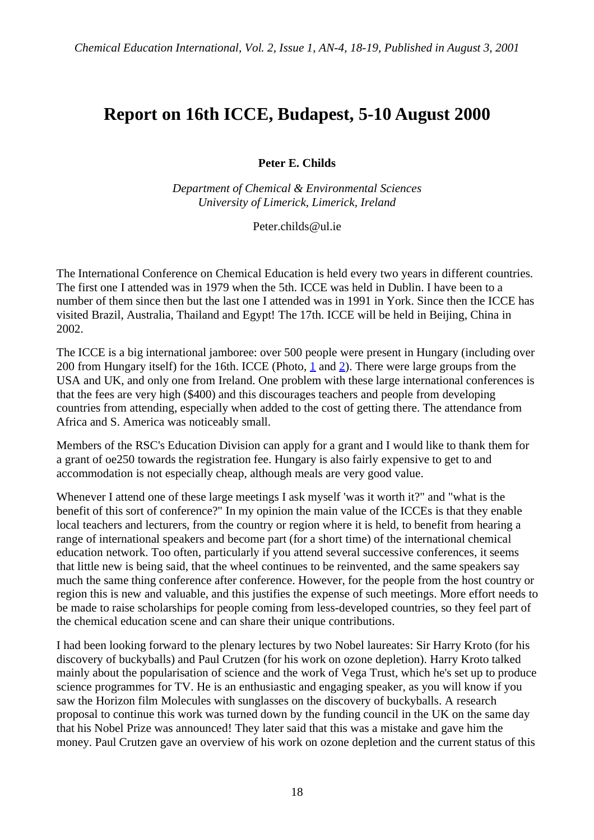## **Report on 16th ICCE, Budapest, 5-10 August 2000**

**Peter E. Childs**

*Department of Chemical & Environmental Sciences University of Limerick, Limerick, Ireland*

Peter.childs@ul.ie

The International Conference on Chemical Education is held every two years in different countries. The first one I attended was in 1979 when the 5th. ICCE was held in Dublin. I have been to a number of them since then but the last one I attended was in 1991 in York. Since then the ICCE has visited Brazil, Australia, Thailand and Egypt! The 17th. ICCE will be held in Beijing, China in 2002.

The ICCE is a big international jamboree: over 500 people were present in Hungary (including over 200 from Hungary itself) for the 16th. ICCE (Photo, 1 and 2). There were large groups from the USA and UK, and only one from Ireland. One problem with these large international conferences is that the fees are very high (\$400) and this discourages teachers and people from developing countries from attending, especially when added to the cost of getting there. The attendance from Africa and S. America was noticeably small.

Members of the RSC's Education Division can apply for a grant and I would like to thank them for a grant of oe250 towards the registration fee. Hungary is also fairly expensive to get to and accommodation is not especially cheap, although meals are very good value.

Whenever I attend one of these large meetings I ask myself 'was it worth it?" and "what is the benefit of this sort of conference?" In my opinion the main value of the ICCEs is that they enable local teachers and lecturers, from the country or region where it is held, to benefit from hearing a range of international speakers and become part (for a short time) of the international chemical education network. Too often, particularly if you attend several successive conferences, it seems that little new is being said, that the wheel continues to be reinvented, and the same speakers say much the same thing conference after conference. However, for the people from the host country or region this is new and valuable, and this justifies the expense of such meetings. More effort needs to be made to raise scholarships for people coming from less-developed countries, so they feel part of the chemical education scene and can share their unique contributions.

I had been looking forward to the plenary lectures by two Nobel laureates: Sir Harry Kroto (for his discovery of buckyballs) and Paul Crutzen (for his work on ozone depletion). Harry Kroto talked mainly about the popularisation of science and the work of Vega Trust, which he's set up to produce science programmes for TV. He is an enthusiastic and engaging speaker, as you will know if you saw the Horizon film Molecules with sunglasses on the discovery of buckyballs. A research proposal to continue this work was turned down by the funding council in the UK on the same day that his Nobel Prize was announced! They later said that this was a mistake and gave him the money. Paul Crutzen gave an overview of his work on ozone depletion and the current status of this